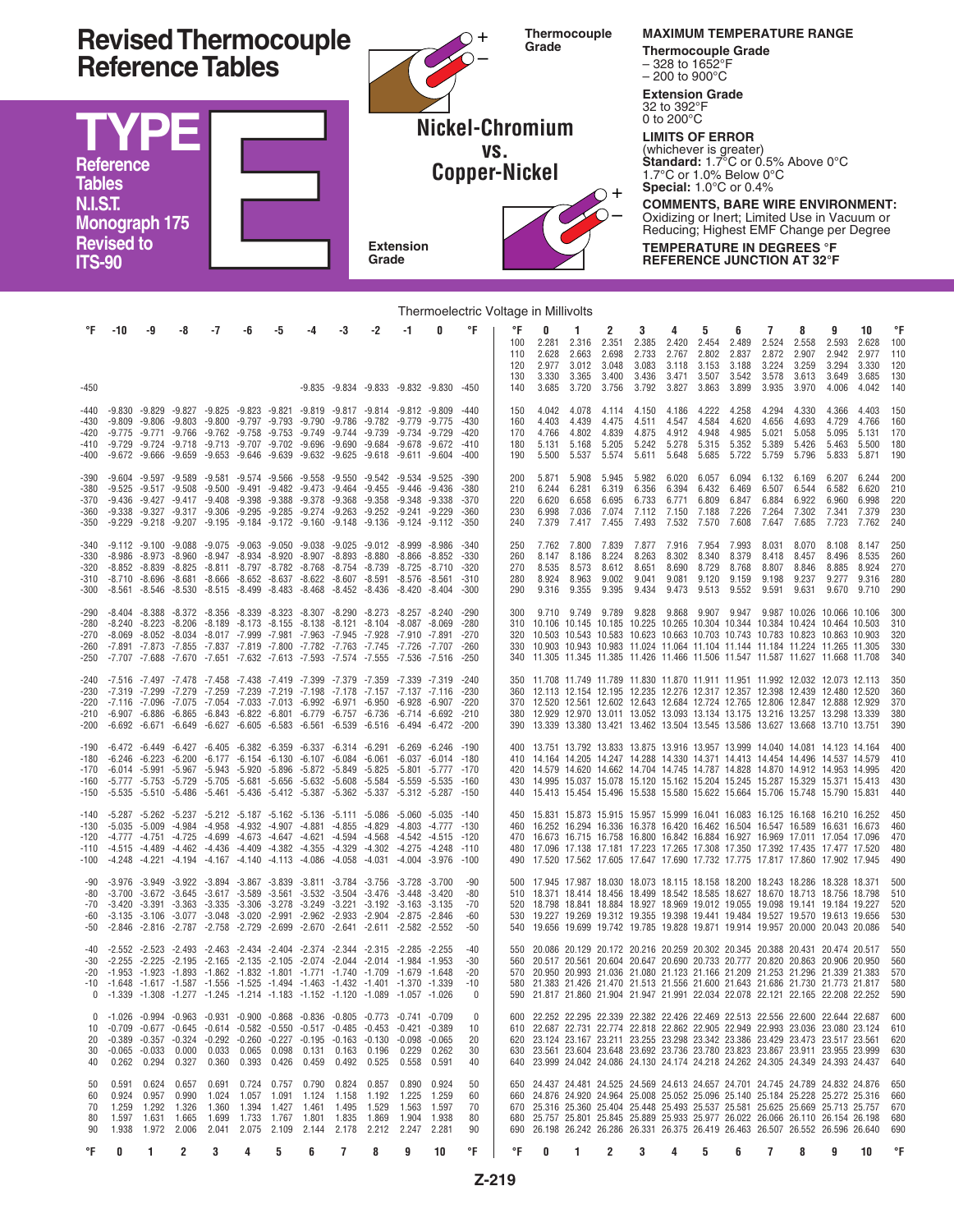

| Thermoelectric Voltage in Millivolts   |                                                                                                                                                                                                                                                                                         |                                                    |                                                 |                                                                                                                                                                                                                                                                                                                                                                                                                                  |       |                                                                                           |                |                                                 |                                                                                                    |                                                                                                 |                                                                                                                |                                                |                                       |                                                                                                                                                                                                                                                                                                                                                                                                                                  |                                                 |                                                       |                                                |                                                             |                                                       |                                                |                                                |                                                 |                                                |                                                       |                                       |
|----------------------------------------|-----------------------------------------------------------------------------------------------------------------------------------------------------------------------------------------------------------------------------------------------------------------------------------------|----------------------------------------------------|-------------------------------------------------|----------------------------------------------------------------------------------------------------------------------------------------------------------------------------------------------------------------------------------------------------------------------------------------------------------------------------------------------------------------------------------------------------------------------------------|-------|-------------------------------------------------------------------------------------------|----------------|-------------------------------------------------|----------------------------------------------------------------------------------------------------|-------------------------------------------------------------------------------------------------|----------------------------------------------------------------------------------------------------------------|------------------------------------------------|---------------------------------------|----------------------------------------------------------------------------------------------------------------------------------------------------------------------------------------------------------------------------------------------------------------------------------------------------------------------------------------------------------------------------------------------------------------------------------|-------------------------------------------------|-------------------------------------------------------|------------------------------------------------|-------------------------------------------------------------|-------------------------------------------------------|------------------------------------------------|------------------------------------------------|-------------------------------------------------|------------------------------------------------|-------------------------------------------------------|---------------------------------------|
| °F<br>-450                             | -10                                                                                                                                                                                                                                                                                     | -9                                                 | -8                                              | -7                                                                                                                                                                                                                                                                                                                                                                                                                               | -6    | -5                                                                                        | -4             | -3                                              | -2<br>$-9.835$ $-9.834$ $-9.833$ $-9.832$ $-9.830$ $-450$                                          | -1                                                                                              | 0                                                                                                              | °F                                             | °F<br>100<br>110<br>120<br>130<br>140 | 0<br>2.281<br>2.628<br>2.977<br>3.330<br>3.685                                                                                                                                                                                                                                                                                                                                                                                   | 1<br>2.316<br>2.663<br>3.012<br>3.365<br>3.720  | 2<br>2.351<br>2.698<br>3.048<br>3.400<br>3.756        | 3<br>2.385<br>2.733<br>3.083<br>3.436<br>3.792 | 4<br>2.420<br>2.767<br>3.118<br>3.471<br>3.827 3.863        | 5<br>2.454<br>2.802<br>3.153<br>3.507                 | 6<br>2.489<br>2.837<br>3.188<br>3.542<br>3.899 | 7<br>2.524<br>2.872<br>3.224<br>3.578<br>3.935 | 8<br>2.558<br>2.907<br>3.259<br>3.613<br>3.970  | 9<br>2.593<br>2.942<br>3.294<br>3.649<br>4.006 | 10<br>2.628<br>2.977<br>3.330<br>3.685<br>4.042       | °F<br>100<br>110<br>120<br>130<br>140 |
| -440<br>-430<br>-420<br>-410<br>-400   | -9.775 -9.771 -9.766 -9.762 -9.758 -9.753 -9.749 -9.744 -9.739<br>-9.729 -9.724 -9.718 -9.713 -9.707 -9.702 -9.696 -9.690 -9.684 -9.678 -9.672                                                                                                                                          | $-9.809 - 9.806 - 9.803$                           |                                                 | -9.830 -9.829 -9.827 -9.825 -9.823 -9.821 -9.819 -9.817 -9.814<br>-9.800 -9.797 -9.793 -9.790 -9.786 -9.782<br>$-9.672$ $-9.666$ $-9.659$ $-9.653$ $-9.646$ $-9.639$ $-9.632$ $-9.625$ $-9.618$                                                                                                                                                                                                                                  |       |                                                                                           |                |                                                 |                                                                                                    | -9.812 -9.809<br>-9.779 -9.775<br>-9.734 -9.729                                                 | $-9.611 - 9.604$                                                                                               | $-440$<br>$-430$<br>$-420$<br>$-410$<br>-400   | 150<br>160<br>170<br>180<br>190       | 4.042<br>4.403<br>4.766<br>5.131                                                                                                                                                                                                                                                                                                                                                                                                 | 4.078<br>4.439<br>4.802<br>5.168                | 4.114<br>4.475<br>4.839<br>5.205<br>5.500 5.537 5.574 | 4.150<br>4.511<br>4.875<br>5.242               | 4.186<br>4.547<br>4.912<br>5.278<br>5.611 5.648             | 4.222<br>4.584<br>4.948<br>5.315<br>5.685             | 4.258<br>4.620<br>4.985<br>5.352<br>5.722      | 4.294<br>4.656<br>5.021<br>5.389               | 4.330<br>4.693<br>5.058<br>5.426<br>5.759 5.796 | 4.366<br>4.729<br>5.095<br>5.463               | 4.403<br>4.766<br>5.131<br>5.500<br>5.833 5.871       | 150<br>160<br>170<br>180<br>190       |
| -390<br>-380<br>-370<br>-360<br>-350   | $-9.525$<br>-9.338 -9.327 -9.317 -9.306 -9.295 -9.285 -9.274 -9.263 -9.252                                                                                                                                                                                                              | $-9.604 -9.597$<br>$-9.517 - 9.508$                | $-9.589$                                        | $-9.581$ $-9.574$ $-9.566$ $-9.558$ $-9.550$<br>-9.500 -9.491 -9.482 -9.473 -9.464 -9.455<br>-9.436 -9.427 -9.417 -9.408 -9.398 -9.388 -9.378 -9.368 -9.358<br>$-9.229 -9.218 -9.207 -9.195 -9.184 -9.172 -9.160 -9.148 -9.136$                                                                                                                                                                                                  |       |                                                                                           |                |                                                 | $-9.542$                                                                                           | $-9.534 -9.525$<br>$-9.446 - 9.436$<br>$-9.348 - 9.338$<br>$-9.241 - 9.229$<br>$-9.124 - 9.112$ |                                                                                                                | -390<br>$-380$<br>$-370$<br>$-360$<br>$-350$   | 200<br>210<br>220<br>230<br>240       | 5.871<br>6.244<br>6.620<br>6.998<br>7.379                                                                                                                                                                                                                                                                                                                                                                                        | 5.908<br>6.281<br>6.658<br>7.036<br>7.417 7.455 | 5.945<br>6.319<br>6.695<br>7.074                      | 5.982<br>6.356<br>6.733                        | 6.020<br>6.394<br>6.771<br>7.112 7.150<br>7.493 7.532 7.570 | 6.057<br>6.432<br>6.809<br>7.188                      | 6.094<br>6.469<br>6.847<br>7.226<br>7.608      | 6.132<br>6.507<br>6.884<br>7.264<br>7.647      | 6.169<br>6.544<br>6.922<br>7.302<br>7.685       | 6.207<br>6.582<br>6.960                        | 6.244<br>6.620<br>6.998<br>7.341 7.379<br>7.723 7.762 | 200<br>210<br>220<br>230<br>240       |
| -340<br>-330<br>-320<br>-310<br>-300   |                                                                                                                                                                                                                                                                                         |                                                    |                                                 | $-9.112 - 9.100 - 9.088 - 9.075 - 9.063 - 9.050 - 9.038 - 9.025 - 9.012$<br>$-8.986$ $-8.973$ $-8.960$ $-8.947$ $-8.934$ $-8.920$ $-8.907$ $-8.893$ $-8.880$<br>$-8.852$ $-8.839$ $-8.825$ $-8.811$ $-8.797$ $-8.782$ $-8.768$ $-8.754$ $-8.739$<br>$-8.561$ $-8.546$ $-8.530$ $-8.515$ $-8.499$ $-8.483$ $-8.468$ $-8.452$ $-8.436$                                                                                             |       |                                                                                           |                |                                                 | -8.710 -8.696 -8.681 -8.666 -8.652 -8.637 -8.622 -8.607 -8.591 -8.576 -8.561                       | -8.999 -8.986<br>$-8.866 - 8.852$<br>-8.725 -8.710<br>-8.420 -8.404                             |                                                                                                                | $-340$<br>$-330$<br>$-320$<br>$-310$<br>$-300$ | 250<br>260<br>270<br>280<br>290       | 7.762<br>8.147<br>8.535<br>8.924<br>9.316                                                                                                                                                                                                                                                                                                                                                                                        | 7.800<br>8.186<br>8.573<br>8.963<br>9.355       | 7.839<br>8.224<br>8.612<br>9.002<br>9.395             | 7.877<br>8.263<br>8.651<br>9.041               | 7.916<br>8.302<br>8.690<br>9.081                            | 7.954<br>8.340<br>8.729<br>9.120<br>9.434 9.473 9.513 | 7.993<br>8.379<br>8.768<br>9.159<br>9.552      | 8.031<br>8.418<br>8.807<br>9.198<br>9.591      | 8.070<br>8.457<br>8.846<br>9.237<br>9.631       | 8.108<br>8.496<br>8.885                        | 8.147<br>8.535<br>8.924<br>9.277 9.316<br>9.670 9.710 | 250<br>260<br>270<br>280<br>290       |
| -290<br>-280<br>-270<br>-260<br>-250   | -7.707 -7.688 -7.670 -7.651 -7.632 -7.613 -7.593 -7.574 -7.555                                                                                                                                                                                                                          |                                                    |                                                 | $-8.404$ $-8.388$ $-8.372$ $-8.356$ $-8.339$ $-8.323$ $-8.307$ $-8.290$ $-8.273$<br>$-8.240 -8.223 -8.206 -8.189 -8.173 -8.155 -8.138 -8.121 -8.104$<br>$-8.069$ $-8.052$ $-8.034$ $-8.017$ $-7.999$ $-7.981$ $-7.963$ $-7.945$ $-7.928$                                                                                                                                                                                         |       |                                                                                           |                |                                                 | -7.891 -7.873 -7.855 -7.837 -7.819 -7.800 -7.782 -7.763 -7.745 -7.726 -7.707                       | $-8.257 - 8.240$<br>-8.087 -8.069<br>-7.910 -7.891                                              | -7.536 -7.516 -250                                                                                             | $-290$<br>$-280$<br>$-270$<br>$-260$           | 300<br>340                            | 9.710<br>310 10.106 10.145 10.185 10.225 10.265 10.304 10.344 10.384 10.424 10.464 10.503<br>320 10.503 10.543 10.583 10.623 10.663 10.703 10.743 10.783 10.823 10.863 10.903<br>330 10.903 10.943 10.983 11.024 11.064 11.104 11.144 11.184 11.224 11.265 11.305<br>11.305 11.345 11.385 11.426 11.466 11.506 11.547 11.587 11.627 11.668 11.708                                                                                |                                                 | 9.749 9.789                                           |                                                |                                                             |                                                       | 9.828 9.868 9.907 9.947                        | 9.987 10.026 10.066 10.106                     |                                                 |                                                |                                                       | 300<br>310<br>320<br>330<br>340       |
| -240<br>-230<br>-220<br>-210<br>-200   | -7.516 -7.497 -7.478 -7.458 -7.438 -7.419 -7.399 -7.379 -7.359<br>-7.319 -7.299 -7.279 -7.259 -7.239 -7.219 -7.198 -7.178 -7.157<br>-7.116 -7.096 -7.075 -7.054 -7.033 -7.013 -6.992 -6.971 -6.950 -6.928 -6.907 -220<br>-6.907 -6.886 -6.865 -6.843 -6.822 -6.801 -6.779 -6.757 -6.736 |                                                    |                                                 | $-6.692$ $-6.671$ $-6.649$ $-6.627$ $-6.605$ $-6.583$ $-6.561$ $-6.539$ $-6.516$                                                                                                                                                                                                                                                                                                                                                 |       |                                                                                           |                |                                                 |                                                                                                    |                                                                                                 | $-7.339 - 7.319 - 240$<br>-7.137 -7.116<br>$-6.714 - 6.692 - 210$<br>-6.494 -6.472 -200                        | -230                                           | 360                                   | 350 11.708 11.749 11.789 11.830 11.870 11.911 11.951 11.992 12.032 12.073 12.113<br>12.113 12.154 12.195 12.235 12.276 12.317 12.357 12.398 12.439 12.480 12.520<br>370 12.520 12.561 12.602 12.643 12.684 12.724 12.765 12.806 12.847 12.888 12.929<br>380 12.929 12.970 13.011 13.052 13.093 13.134 13.175 13.216 13.257 13.298 13.339<br>390 13.339 13.380 13.421 13.462 13.504 13.545 13.586 13.627 13.668 13.710 13.751     |                                                 |                                                       |                                                |                                                             |                                                       |                                                |                                                |                                                 |                                                |                                                       | 350<br>360<br>370<br>380<br>390       |
| -190<br>-180<br>-170<br>-160<br>-150   |                                                                                                                                                                                                                                                                                         |                                                    |                                                 | $-6.472$ $-6.449$ $-6.427$ $-6.405$ $-6.382$ $-6.359$ $-6.337$ $-6.314$ $-6.291$<br>$-6.246$ $-6.223$ $-6.200$ $-6.177$ $-6.154$ $-6.130$ $-6.107$ $-6.084$ $-6.061$<br>$-6.014$ $-5.991$ $-5.967$ $-5.943$ $-5.920$ $-5.896$ $-5.872$ $-5.849$ $-5.825$<br>-5.777 -5.753 -5.729 -5.705 -5.681 -5.656 -5.632 -5.608 -5.584<br>-5.535 -5.510 -5.486 -5.461 -5.436 -5.412 -5.387 -5.362 -5.337                                     |       |                                                                                           |                |                                                 |                                                                                                    |                                                                                                 | -6.269 -6.246 -190<br>$-6.037 - 6.014 - 180$<br>-5.801 -5.777 -170<br>-5.559 -5.535 -160<br>-5.312 -5.287 -150 |                                                | 400<br>420                            | 13.751 13.792 13.833 13.875 13.916 13.957 13.999 14.040 14.081 14.123 14.164<br>410 14.164 14.205 14.247 14.288 14.330 14.371 14.413 14.454 14.496 14.537 14.579<br>14.579 14.620 14.662 14.704 14.745 14.787 14.828 14.870 14.912 14.953 14.995<br>430 14.995 15.037 15.078 15.120 15.162 15.204 15.245 15.287 15.329 15.371 15.413<br>440 15.413 15.454 15.496 15.538 15.580 15.622 15.664 15.706 15.748 15.790 15.831         |                                                 |                                                       |                                                |                                                             |                                                       |                                                |                                                |                                                 |                                                |                                                       | 400<br>410<br>420<br>430<br>440       |
| -140<br>-130<br>-120<br>-110<br>$-100$ |                                                                                                                                                                                                                                                                                         |                                                    |                                                 | $-5.287$ $-5.262$ $-5.237$ $-5.212$ $-5.187$ $-5.162$ $-5.136$ $-5.111$ $-5.086$<br>$-5.035$ $-5.009$ $-4.984$ $-4.958$ $-4.932$ $-4.907$ $-4.881$ $-4.855$ $-4.829$<br>$-4.777$ $-4.751$ $-4.725$ $-4.699$ $-4.673$ $-4.647$ $-4.621$ $-4.594$ $-4.568$<br>$-4.515$ $-4.489$ $-4.462$ $-4.436$ $-4.409$ $-4.382$ $-4.355$ $-4.329$ $-4.302$<br>$-4.248$ $-4.221$ $-4.194$ $-4.167$ $-4.140$ $-4.113$ $-4.086$ $-4.058$ $-4.031$ |       |                                                                                           |                |                                                 |                                                                                                    | $-5.060 -5.035$<br>-4.803 -4.777<br>$-4.542 - 4.515$<br>-4.275 -4.248<br>$-4.004 -3.976$        |                                                                                                                | -140<br>$-130$<br>$-120$<br>$-110$<br>$-100$   | 450<br>490                            | 15.831 15.873 15.915 15.957 15.999 16.041 16.083 16.125 16.168 16.210 16.252<br>460 16.252 16.294 16.336 16.378 16.420 16.462 16.504 16.547 16.589 16.631 16.673<br>470 16.673 16.715 16.758 16.800 16.842 16.884 16.927 16.969 17.011 17.054 17.096<br>480 17.096 17.138 17.181 17.223 17.265 17.308 17.350 17.392 17.435 17.477 17.520<br>17.520 17.562 17.605 17.647 17.690 17.732 17.775 17.817 17.860 17.902 17.945         |                                                 |                                                       |                                                |                                                             |                                                       |                                                |                                                |                                                 |                                                |                                                       | 450<br>460<br>470<br>480<br>490       |
| -90<br>-80<br>-70<br>-60<br>-50        | $-2.846$                                                                                                                                                                                                                                                                                |                                                    |                                                 | $-3.976$ $-3.949$ $-3.922$ $-3.894$ $-3.867$ $-3.839$ $-3.811$ $-3.784$ $-3.756$<br>$-3.700$ $-3.672$ $-3.645$ $-3.617$ $-3.589$ $-3.561$ $-3.532$ $-3.504$ $-3.476$<br>$-3.420$ $-3.391$ $-3.363$ $-3.335$ $-3.306$ $-3.278$ $-3.249$ $-3.221$ $-3.192$<br>$-2.816$ $-2.787$ $-2.758$ $-2.729$ $-2.699$ $-2.670$ $-2.641$ $-2.611$                                                                                              |       |                                                                                           |                |                                                 | -3.135 -3.106 -3.077 -3.048 -3.020 -2.991 -2.962 -2.933 -2.904 -2.875 -2.846                       | $-3.728 - 3.700$<br>$-3.448$ $-3.420$<br>$-3.163 - 3.135$<br>$-2.582 -2.552$                    |                                                                                                                | $-90$<br>-80<br>$-70$<br>-60<br>$-50$          | 510<br>520<br>530<br>540              | 500 17.945 17.987 18.030 18.073 18.115 18.158 18.200 18.243 18.286 18.328 18.371<br>18.371 18.414 18.456 18.499 18.542 18.585 18.627 18.670 18.713 18.756 18.798<br>18.798 18.841 18.884 18.927 18.969 19.012 19.055 19.098 19.141 19.184 19.227<br>19.227 19.269 19.312 19.355 19.398 19.441 19.484 19.527 19.570 19.613 19.656<br>19.656 19.699 19.742 19.785 19.828 19.871 19.914 19.957 20.000 20.043 20.086                 |                                                 |                                                       |                                                |                                                             |                                                       |                                                |                                                |                                                 |                                                |                                                       | 500<br>510<br>520<br>530<br>540       |
| -40<br>-30<br>-20<br>-10               | -1.953 -1.923 -1.893 -1.862 -1.832 -1.801 -1.771 -1.740 -1.709 -1.679 -1.648<br>-1.648 -1.617 -1.587 -1.556 -1.525 -1.494 -1.463 -1.432 -1.401 -1.370 -1.339<br>0 -1.339 -1.308 -1.277 -1.245 -1.214 -1.183 -1.152 -1.120 -1.089 -1.057 -1.026                                          |                                                    |                                                 | $-2.552 -2.523 -2.493 -2.463 -2.434 -2.404 -2.374 -2.344 -2.315$                                                                                                                                                                                                                                                                                                                                                                 |       |                                                                                           |                |                                                 | $-2.255$ $-2.225$ $-2.195$ $-2.165$ $-2.135$ $-2.105$ $-2.074$ $-2.044$ $-2.014$ $-1.984$ $-1.953$ | -2.285 -2.255                                                                                   |                                                                                                                | $-40$<br>$-30$<br>$-20$<br>$-10$<br>$\cap$     | 550<br>560                            | 20.086 20.129 20.172 20.216 20.259 20.302 20.345 20.388 20.431 20.474 20.517<br>20.517 20.561 20.604 20.647 20.690 20.733 20.777 20.820 20.863 20.906 20.950<br>570 20.950 20.993 21.036 21.080 21.123 21.166 21.209 21.253 21.296 21.339 21.383<br>580 21.383 21.426 21.470 21.513 21.556 21.600 21.643 21.686 21.730 21.773 21.817<br>590 21.817 21.860 21.904 21.947 21.991 22.034 22.078 22.121 22.165 22.208 22.252         |                                                 |                                                       |                                                |                                                             |                                                       |                                                |                                                |                                                 |                                                |                                                       | 550<br>560<br>570<br>580<br>590       |
| $\Omega$<br>10<br>20<br>30<br>40       | -1.026 -0.994 -0.963 -0.931 -0.900 -0.868 -0.836 -0.805 -0.773 -0.741 -0.709                                                                                                                                                                                                            | $-0.389 -0.357$<br>$-0.065 - 0.033$<br>0.262 0.294 | $-0.324$<br>$0.000$ $0.033$<br>0.327            | $-0.709$ $-0.677$ $-0.645$ $-0.614$ $-0.582$ $-0.550$ $-0.517$ $-0.485$ $-0.453$<br>$-0.292$ $-0.260$ $-0.227$ $-0.195$ $-0.163$                                                                                                                                                                                                                                                                                                 |       | 0.065 0.098 0.131<br>0.360 0.393 0.426 0.459                                              |                | 0.163<br>0.492                                  | $-0.130$<br>0.196<br>0.525                                                                         | $-0.421 -0.389$<br>$-0.098$<br>0.229<br>0.558                                                   | $-0.065$<br>0.262<br>0.591                                                                                     | $\Omega$<br>10<br>20<br>30<br>40               |                                       | 600 22.252 22.295 22.339 22.382 22.426 22.469 22.513 22.556 22.600 22.644 22.687<br>610 22.687 22.731 22.774 22.818 22.862 22.905 22.949 22.993 23.036 23.080 23.124<br>620 23.124 23.167 23.211 23.255 23.298 23.342 23.386 23.429 23.473 23.517 23.561<br>630 23.561 23.604 23.648 23.692 23.736 23.780 23.823 23.867 23.911 23.955 23.999<br>640 23.999 24.042 24.086 24.130 24.174 24.218 24.262 24.305 24.349 24.393 24.437 |                                                 |                                                       |                                                |                                                             |                                                       |                                                |                                                |                                                 |                                                |                                                       | -600<br>610<br>620<br>630<br>640      |
| 50<br>60<br>70<br>80<br>90             | 0.591<br>0.924<br>1.259<br>1.597<br>1.938                                                                                                                                                                                                                                               | 0.624<br>0.957<br>1.292<br>1.631                   | 0.657<br>0.990<br>1.326<br>1.665<br>1.972 2.006 | 0.691<br>1.024<br>1.360<br>1.699                                                                                                                                                                                                                                                                                                                                                                                                 | 1.733 | 0.724 0.757 0.790<br>1.057 1.091 1.124<br>1.394 1.427<br>1.767<br>2.041 2.075 2.109 2.144 | 1.461<br>1.801 | 0.824<br>1.158<br>1.495<br>1.835<br>2.178 2.212 | 0.857<br>1.192<br>1.529<br>1.869                                                                   | 0.890<br>1.225<br>1.563<br>2.247 2.281                                                          | 0.924<br>1.259<br>1.597<br>1.904 1.938                                                                         | 50<br>60<br>70<br>80<br>90                     |                                       | 650 24.437 24.481 24.525 24.569 24.613 24.657 24.701 24.745 24.789 24.832 24.876<br>660 24.876 24.920 24.964 25.008 25.052 25.096 25.140 25.184 25.228 25.272 25.316<br>670 25.316 25.360 25.404 25.448 25.493 25.537 25.581 25.625 25.669 25.713 25.757<br>680 25.757 25.801 25.845 25.889 25.933 25.977 26.022 26.066 26.110 26.154 26.198<br>690 26.198 26.242 26.286 26.331 26.375 26.419 26.463 26.507 26.552 26.596 26.640 |                                                 |                                                       |                                                |                                                             |                                                       |                                                |                                                |                                                 |                                                |                                                       | 650<br>660<br>670<br>680<br>690       |
| °F                                     | 0                                                                                                                                                                                                                                                                                       | 1                                                  | 2                                               | 3                                                                                                                                                                                                                                                                                                                                                                                                                                | 4     | 5                                                                                         | 6              | 7                                               | 8                                                                                                  | 9                                                                                               | 10                                                                                                             | °F                                             | °F                                    | 0                                                                                                                                                                                                                                                                                                                                                                                                                                | 1                                               | 2                                                     | 3                                              | 4                                                           | 5                                                     | 6                                              | 7                                              | 8                                               | 9                                              | 10                                                    | °F                                    |